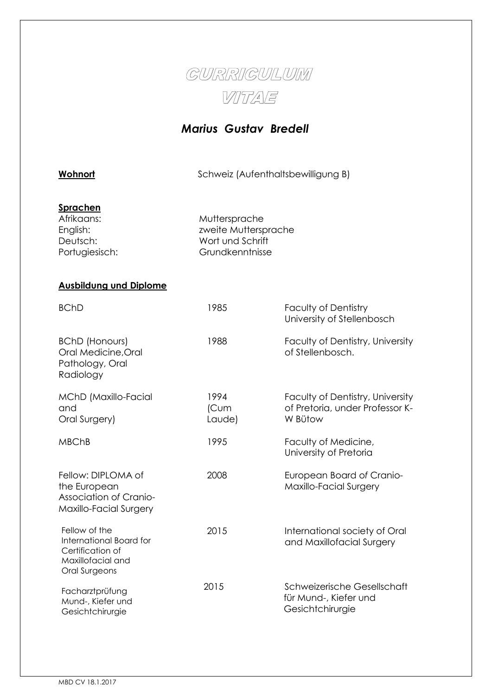

# *Marius Gustav Bredell*

**Wohnort** Schweiz (Aufenthaltsbewilligung B)

### **Sprachen**

Afrikaans: Muttersprache English: zweite Muttersprache Deutsch: Wort und Schrift Portugiesisch: Grundkenntnisse

# **Ausbildung und Diplome**

| <b>BChD</b>                                                                                        | 1985                   | <b>Faculty of Dentistry</b><br>University of Stellenbosch                      |
|----------------------------------------------------------------------------------------------------|------------------------|--------------------------------------------------------------------------------|
| <b>BChD (Honours)</b><br>Oral Medicine, Oral<br>Pathology, Oral<br>Radiology                       | 1988                   | Faculty of Dentistry, University<br>of Stellenbosch.                           |
| MChD (Maxillo-Facial<br>and<br>Oral Surgery)                                                       | 1994<br>(Cum<br>Laude) | Faculty of Dentistry, University<br>of Pretoria, under Professor K-<br>W Bütow |
| <b>MBChB</b>                                                                                       | 1995                   | Faculty of Medicine,<br>University of Pretoria                                 |
| Fellow: DIPLOMA of<br>the European<br><b>Association of Cranio-</b><br>Maxillo-Facial Surgery      | 2008                   | European Board of Cranio-<br>Maxillo-Facial Surgery                            |
| Fellow of the<br>International Board for<br>Certification of<br>Maxillofacial and<br>Oral Surgeons | 2015                   | International society of Oral<br>and Maxillofacial Surgery                     |
| Facharztprüfung<br>Mund-, Kiefer und<br>Gesichtchirurgie                                           | 2015                   | Schweizerische Gesellschaft<br>für Mund-, Kiefer und<br>Gesichtchirurgie       |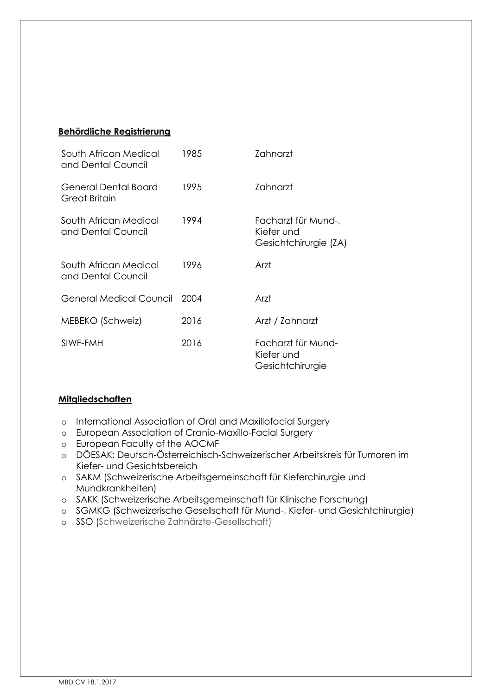#### **Behördliche Registrierung**

| South African Medical<br>and Dental Council | 1985 | Zahnarzt                                                   |
|---------------------------------------------|------|------------------------------------------------------------|
| General Dental Board<br>Great Britain       | 1995 | 7ahnarzt                                                   |
| South African Medical<br>and Dental Council | 1994 | Facharzt für Mund-,<br>Kiefer und<br>Gesichtchirurgie (ZA) |
| South African Medical<br>and Dental Council | 1996 | Arzt                                                       |
| General Medical Council                     | 2004 | Arzt                                                       |
| MEBEKO (Schweiz)                            | 2016 | Arzt / Zahnarzt                                            |
| SIWF-FMH                                    | 2016 | Facharzt für Mund-<br>Kiefer und<br>Gesichtchirurgie       |

#### **Mitgliedschaften**

- o International Association of Oral and Maxillofacial Surgery
- o European Association of Cranio-Maxillo-Facial Surgery
- o European Faculty of the AOCMF
- o DÖESAK: Deutsch-Österreichisch-Schweizerischer Arbeitskreis für Tumoren im Kiefer- und Gesichtsbereich
- o SAKM (Schweizerische Arbeitsgemeinschaft für Kieferchirurgie und Mundkrankheiten)
- o SAKK (Schweizerische Arbeitsgemeinschaft für Klinische Forschung)
- o SGMKG (Schweizerische Gesellschaft für Mund-, Kiefer- und Gesichtchirurgie)
- o SSO (Schweizerische Zahnärzte-Gesellschaft)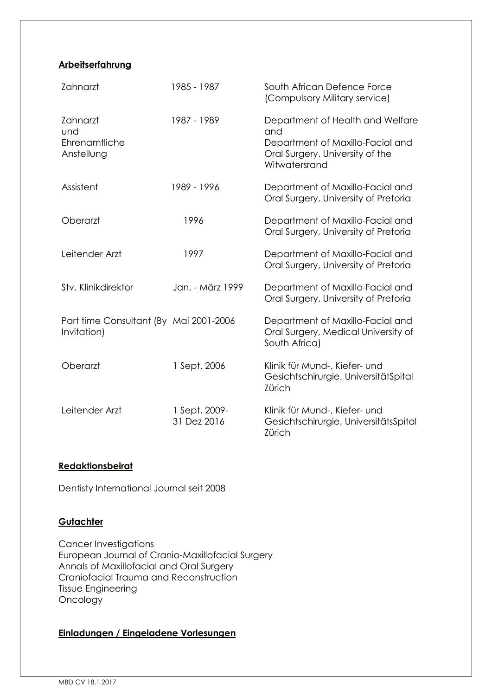# **Arbeitserfahrung**

| Zahnarzt                                              | 1985 - 1987                  | South African Defence Force<br>(Compulsory Military service)                                                                    |
|-------------------------------------------------------|------------------------------|---------------------------------------------------------------------------------------------------------------------------------|
| Zahnarzt<br>und<br>Ehrenamtliche<br>Anstellung        | 1987 - 1989                  | Department of Health and Welfare<br>and<br>Department of Maxillo-Facial and<br>Oral Surgery. University of the<br>Witwatersrand |
| Assistent                                             | 1989 - 1996                  | Department of Maxillo-Facial and<br>Oral Surgery, University of Pretoria                                                        |
| Oberarzt                                              | 1996                         | Department of Maxillo-Facial and<br>Oral Surgery, University of Pretoria                                                        |
| Leitender Arzt                                        | 1997                         | Department of Maxillo-Facial and<br>Oral Surgery, University of Pretoria                                                        |
| Stv. Klinikdirektor                                   | Jan. - März 1999             | Department of Maxillo-Facial and<br>Oral Surgery, University of Pretoria                                                        |
| Part time Consultant (By Mai 2001-2006<br>Invitation) |                              | Department of Maxillo-Facial and<br>Oral Surgery, Medical University of<br>South Africa)                                        |
| Oberarzt                                              | 1 Sept. 2006                 | Klinik für Mund-, Kiefer- und<br>Gesichtschirurgie, UniversitätSpital<br>Zürich                                                 |
| Leitender Arzt                                        | 1 Sept. 2009-<br>31 Dez 2016 | Klinik für Mund-, Kiefer- und<br>Gesichtschirurgie, UniversitätsSpital<br>Zürich                                                |

#### **Redaktionsbeirat**

Dentisty International Journal seit 2008

# **Gutachter**

Cancer Investigations European Journal of Cranio-Maxillofacial Surgery Annals of Maxillofacial and Oral Surgery Craniofacial Trauma and Reconstruction Tissue Engineering Oncology

# **Einladungen / Eingeladene Vorlesungen**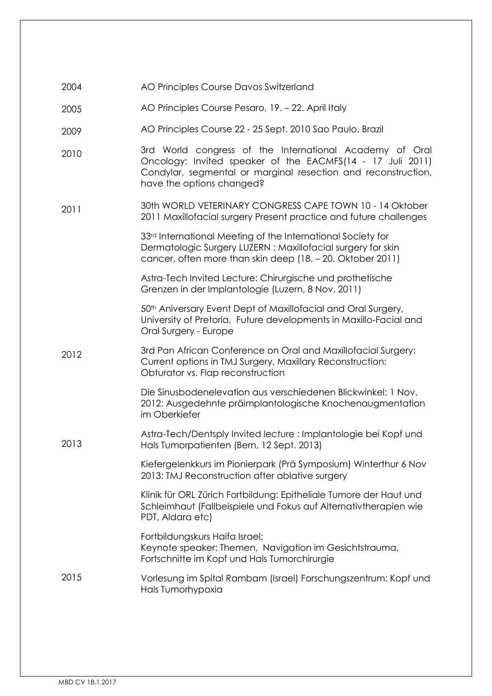- 2004 AO Principles Course Davos Switzerland
- 2005 AO Principles Course Pesaro, 19. – 22. April Italy
- 2009 AO Principles Course 22 - 25 Sept. 2010 Sao Paulo, Brazil
- 2010 3rd World congress of the International Academy of Oral Oncology: Invited speaker of the EACMFS(14 - 17 Juli 2011) Condylar, segmental or marginal resection and reconstruction, have the options changed?
- 2011 30th WORLD VETERINARY CONGRESS CAPE TOWN 10 - 14 Oktober 2011 Maxillofacial surgery Present practice and future challenges

33<sup>rd</sup> International Meeting of the International Society for Dermatologic Surgery LUZERN : Maxillofacial surgery for skin cancer, often more than skin deep (18. – 20. Oktober 2011)

Astra-Tech Invited Lecture: Chirurgische und prothetische Grenzen in der Implantologie (Luzern, 8 Nov. 2011)

50<sup>th</sup> Aniversary Event Dept of Maxillofacial and Oral Surgery, University of Pretoria, Future developments in Maxillo-Facial and Oral Surgery - Europe

3rd Pan African Conference on Oral and Maxillofacial Surgery: Current options in TMJ Surgery, Maxillary Reconstruction: Obturator vs. Flap reconstruction 2012

> Die Sinusbodenelevation aus verschiedenen Blickwinkel: 1 Nov. 2012: Ausgedehnte präimplantologische Knochenaugmentation im Oberkiefer

Astra-Tech/Dentsply Invited lecture : Implantologie bei Kopf und Hals Tumorpatienten (Bern, 12 Sept. 2013) 2013

> Kiefergelenkkurs im Pionierpark (Prä Symposium) Winterthur 6 Nov 2013: TMJ Reconstruction after ablative surgery

Klinik für ORL Zürich Fortbildung: Epitheliale Tumore der Haut und Schleimhaut (Fallbeispiele und Fokus auf Alternativtherapien wie PDT, Aldara etc)

Fortbildungskurs Haifa Israel: Keynote speaker: Themen, Navigation im Gesichtstrauma, Fortschnitte im Kopf und Hals Tumorchirurgie

Vorlesung im Spital Rambam (Israel) Forschungszentrum: Kopf und Hals Tumorhypoxia 2015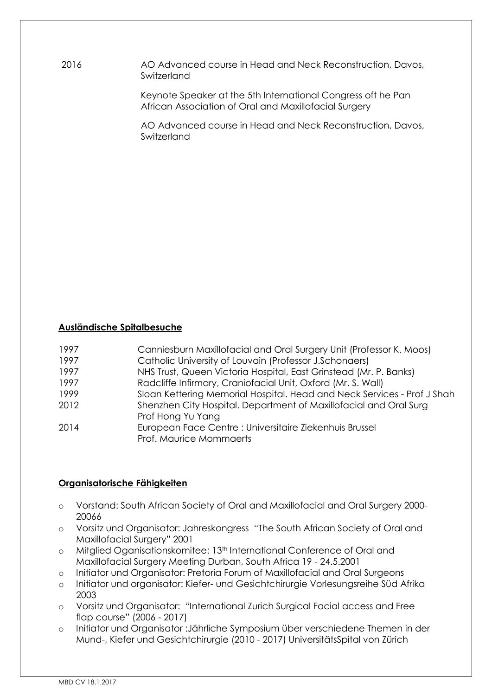2016 AO Advanced course in Head and Neck Reconstruction, Davos, **Switzerland** 

> Keynote Speaker at the 5th International Congress oft he Pan African Association of Oral and Maxillofacial Surgery

AO Advanced course in Head and Neck Reconstruction, Davos, **Switzerland** 

#### **Ausländische Spitalbesuche**

| 1997 | Canniesburn Maxillofacial and Oral Surgery Unit (Professor K. Moos)     |
|------|-------------------------------------------------------------------------|
| 1997 | Catholic University of Louvain (Professor J.Schonaers)                  |
| 1997 | NHS Trust, Queen Victoria Hospital, East Grinstead (Mr. P. Banks)       |
| 1997 | Radcliffe Infirmary, Craniofacial Unit, Oxford (Mr. S. Wall)            |
| 1999 | Sloan Kettering Memorial Hospital. Head and Neck Services - Prof J Shah |
| 2012 | Shenzhen City Hospital. Department of Maxillofacial and Oral Surg       |
|      | Prof Hong Yu Yang                                                       |
| 2014 | European Face Centre : Universitaire Ziekenhuis Brussel                 |
|      | Prof. Maurice Mommaerts                                                 |

#### **Organisatorische Fähigkeiten**

- o Vorstand: South African Society of Oral and Maxillofacial and Oral Surgery 2000- 20066
- o Vorsitz und Organisator: Jahreskongress "The South African Society of Oral and Maxillofacial Surgery" 2001
- o Mitglied Oganisationskomitee: 13th International Conference of Oral and Maxillofacial Surgery Meeting Durban, South Africa 19 - 24.5.2001
- o Initiator und Organisator: Pretoria Forum of Maxillofacial and Oral Surgeons
- o Initiator und organisator: Kiefer- und Gesichtchirurgie Vorlesungsreihe Süd Afrika 2003
- o Vorsitz und Organisator: "International Zurich Surgical Facial access and Free flap course" (2006 - 2017)
- o Initiator und Organisator :Jährliche Symposium über verschiedene Themen in der Mund-, Kiefer und Gesichtchirurgie (2010 - 2017) UniversitätsSpital von Zürich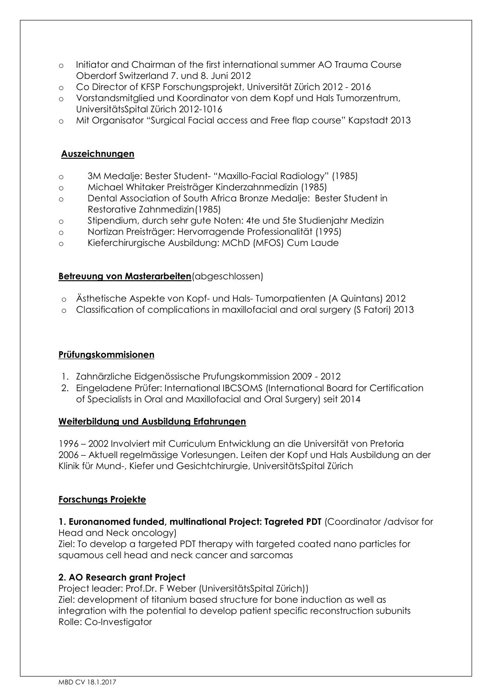- o Initiator and Chairman of the first international summer AO Trauma Course Oberdorf Switzerland 7. und 8. Juni 2012
- o Co Director of KFSP Forschungsprojekt, Universität Zürich 2012 2016
- o Vorstandsmitglied und Koordinator von dem Kopf und Hals Tumorzentrum, UniversitätsSpital Zürich 2012-1016
- o Mit Organisator "Surgical Facial access and Free flap course" Kapstadt 2013

#### **Auszeichnungen**

- o 3M Medalje: Bester Student- "Maxillo-Facial Radiology" (1985)
- o Michael Whitaker Preisträger Kinderzahnmedizin (1985)
- o Dental Association of South Africa Bronze Medalje: Bester Student in Restorative Zahnmedizin(1985)
- o Stipendium, durch sehr gute Noten: 4te und 5te Studienjahr Medizin
- o Nortizan Preisträger: Hervorragende Professionalität (1995)
- o Kieferchirurgische Ausbildung: MChD (MFOS) Cum Laude

#### **Betreuung von Masterarbeiten**(abgeschlossen)

- o Ästhetische Aspekte von Kopf- und Hals- Tumorpatienten (A Quintans) 2012
- o Classification of complications in maxillofacial and oral surgery (S Fatori) 2013

# **Prüfungskommisionen**

- 1. Zahnärzliche Eidgenössische Prufungskommission 2009 2012
- 2. Eingeladene Prüfer: International IBCSOMS (International Board for Certification of Specialists in Oral and Maxillofacial and Oral Surgery) seit 2014

#### **Weiterbildung und Ausbildung Erfahrungen**

1996 – 2002 Involviert mit Curriculum Entwicklung an die Universität von Pretoria 2006 – Aktuell regelmässige Vorlesungen. Leiten der Kopf und Hals Ausbildung an der Klinik für Mund-, Kiefer und Gesichtchirurgie, UniversitätsSpital Zürich

# **Forschungs Projekte**

#### **1. Euronanomed funded, multinational Project: Tagreted PDT** (Coordinator /advisor for Head and Neck oncology)

Ziel: To develop a targeted PDT therapy with targeted coated nano particles for squamous cell head and neck cancer and sarcomas

# **2. AO Research grant Project**

Project leader: Prof.Dr. F Weber (UniversitätsSpital Zürich)) Ziel: development of titanium based structure for bone induction as well as integration with the potential to develop patient specific reconstruction subunits Rolle: Co-Investigator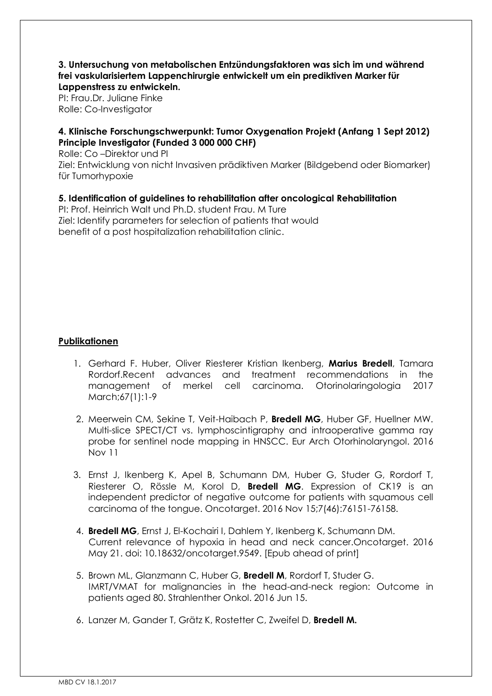#### **3. Untersuchung von metabolischen Entzündungsfaktoren was sich im und während frei vaskularisiertem Lappenchirurgie entwickelt um ein prediktiven Marker für Lappenstress zu entwickeln.**

PI: Frau.Dr. Juliane Finke Rolle: Co-Investigator

# **4. Klinische Forschungschwerpunkt: Tumor Oxygenation Projekt (Anfang 1 Sept 2012) Principle Investigator (Funded 3 000 000 CHF)**

Rolle: Co –Direktor und PI Ziel: Entwicklung von nicht Invasiven prädiktiven Marker (Bildgebend oder Biomarker) für Tumorhypoxie

**5. Identification of guidelines to rehabilitation after oncological Rehabilitation** PI: Prof. Heinrich Walt und Ph.D. student Frau. M Ture Ziel: Identify parameters for selection of patients that would benefit of a post hospitalization rehabilitation clinic.

#### **Publikationen**

- 1. Gerhard F. Huber, Oliver Riesterer Kristian Ikenberg, **Marius Bredell**, Tamara Rordorf.Recent advances and treatment recommendations in the management of merkel cell carcinoma. Otorinolaringologia 2017 March;67(1):1-9
- 2. Meerwein CM, Sekine T, Veit-Haibach P, **Bredell MG**, Huber GF, Huellner MW. [Multi-slice SPECT/CT vs. lymphoscintigraphy and intraoperative gamma ray](https://www.ncbi.nlm.nih.gov/pubmed/27837418)  [probe for sentinel node mapping in HNSCC.](https://www.ncbi.nlm.nih.gov/pubmed/27837418) Eur Arch Otorhinolaryngol. 2016 Nov 11
- 3. Ernst J, Ikenberg K, Apel B, Schumann DM, Huber G, Studer G, Rordorf T, Riesterer O, Rössle M, Korol D, **Bredell MG**. Expression of CK19 is an independent predictor of negative outcome for patients with squamous cell carcinoma of the tongue. Oncotarget. 2016 Nov 15;7(46):76151-76158.
- 4. **Bredell MG**, Ernst J, El-Kochairi I, Dahlem Y, Ikenberg K, Schumann DM. Current relevance of hypoxia in head and neck cancer.Oncotarget. 2016 May 21. doi: 10.18632/oncotarget.9549. [Epub ahead of print]
- 5. Brown ML, Glanzmann C, Huber G, **Bredell M**, Rordorf T, Studer G. IMRT/VMAT for malignancies in the head-and-neck region: Outcome in patients aged 80. Strahlenther Onkol. 2016 Jun 15.
- 6. Lanzer M, Gander T, Grätz K, Rostetter C, Zweifel D, **Bredell M.**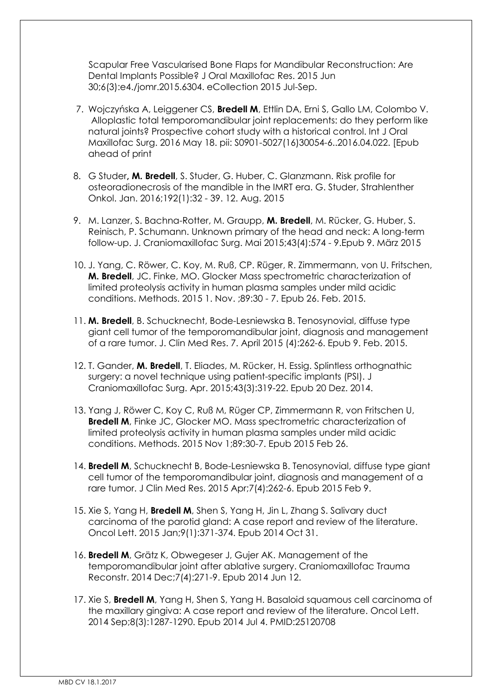Scapular Free Vascularised Bone Flaps for Mandibular Reconstruction: Are Dental Implants Possible? J Oral Maxillofac Res. 2015 Jun 30;6(3):e4./jomr.2015.6304. eCollection 2015 Jul-Sep.

- 7. Wojczyńska A, Leiggener CS, **Bredell M**, Ettlin DA, Erni S, Gallo LM, Colombo V. Alloplastic total temporomandibular joint replacements: do they perform like natural joints? Prospective cohort study with a historical control. Int J Oral Maxillofac Surg. 2016 May 18. pii: S0901-5027(16)30054-6..2016.04.022. [Epub ahead of print
- 8. G Studer**, M. Bredell**, S. Studer, G. Huber, C. Glanzmann. Risk profile for osteoradionecrosis of the mandible in the IMRT era. G. Studer, Strahlenther Onkol. Jan. 2016;192(1):32 - 39. 12. Aug. 2015
- 9. M. Lanzer, S. Bachna-Rotter, M. Graupp, **M. Bredell**, M. Rücker, G. Huber, S. Reinisch, P. Schumann. Unknown primary of the head and neck: A long-term follow-up. J. Craniomaxillofac Surg. Mai 2015;43(4):574 - 9.Epub 9. März 2015
- 10. J. Yang, C. Röwer, C. Koy, M. Ruß, CP. Rüger, R. Zimmermann, von U. Fritschen, **M. Bredell**, JC. Finke, MO. Glocker Mass spectrometric characterization of limited proteolysis activity in human plasma samples under mild acidic conditions. Methods. 2015 1. Nov. ;89:30 - 7. Epub 26. Feb. 2015.
- 11. **M. Bredell**, B. Schucknecht, Bode-Lesniewska B. Tenosynovial, diffuse type giant cell tumor of the temporomandibular joint, diagnosis and management of a rare tumor. J. Clin Med Res. 7. April 2015 (4):262-6. Epub 9. Feb. 2015.
- 12. T. Gander, **M. Bredell**, T. Eliades, M. Rücker, H. Essig. Splintless orthognathic surgery: a novel technique using patient-specific implants (PSI). J Craniomaxillofac Surg. Apr. 2015;43(3):319-22. Epub 20 Dez. 2014.
- 13. Yang J, Röwer C, Koy C, Ruß M, Rüger CP, Zimmermann R, von Fritschen U, **Bredell M**, Finke JC, Glocker MO. Mass spectrometric characterization of limited proteolysis activity in human plasma samples under mild acidic conditions. Methods. 2015 Nov 1;89:30-7. Epub 2015 Feb 26.
- 14. **Bredell M**, Schucknecht B, Bode-Lesniewska B. Tenosynovial, diffuse type giant cell tumor of the temporomandibular joint, diagnosis and management of a rare tumor. J Clin Med Res. 2015 Apr;7(4):262-6. Epub 2015 Feb 9.
- 15. Xie S, Yang H, **Bredell M**, Shen S, Yang H, Jin L, Zhang S. Salivary duct carcinoma of the parotid gland: A case report and review of the literature. Oncol Lett. 2015 Jan;9(1):371-374. Epub 2014 Oct 31.
- 16. **Bredell M**, Grätz K, Obwegeser J, Gujer AK. Management of the temporomandibular joint after ablative surgery. Craniomaxillofac Trauma Reconstr. 2014 Dec;7(4):271-9. Epub 2014 Jun 12.
- 17. Xie S, **Bredell M**, Yang H, Shen S, Yang H. [Basaloid squamous cell carcinoma of](http://www.ncbi.nlm.nih.gov/pubmed/25120708)  [the maxillary gingiva: A case report and review of the literature.](http://www.ncbi.nlm.nih.gov/pubmed/25120708) Oncol Lett. 2014 Sep;8(3):1287-1290. Epub 2014 Jul 4. PMID:25120708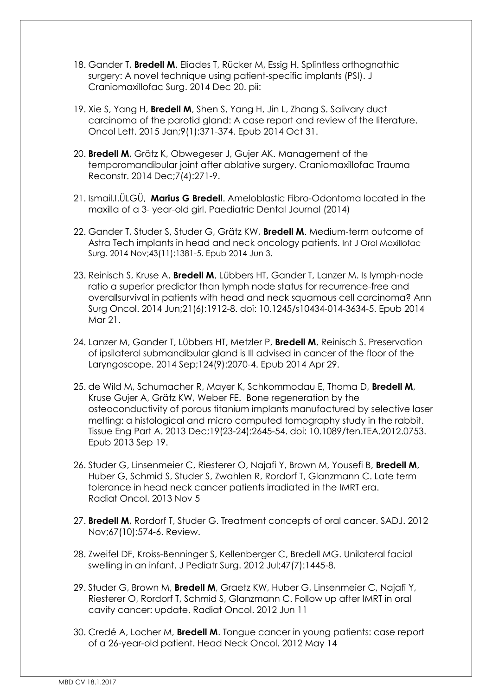- 18. Gander T, **Bredell M**, Eliades T, Rücker M, Essig H. [Splintless orthognathic](http://www.ncbi.nlm.nih.gov/pubmed/25600026)  [surgery: A novel technique using patient-specific implants \(PSI\).](http://www.ncbi.nlm.nih.gov/pubmed/25600026) J Craniomaxillofac Surg. 2014 Dec 20. pii:
- 19. Xie S, Yang H, **Bredell M**, Shen S, Yang H, Jin L, Zhang S. [Salivary duct](http://www.ncbi.nlm.nih.gov/pubmed/25435994)  [carcinoma of the parotid gland: A case report and review of the literature.](http://www.ncbi.nlm.nih.gov/pubmed/25435994) Oncol Lett. 2015 Jan;9(1):371-374. Epub 2014 Oct 31.
- 20. **Bredell M**, Grätz K, Obwegeser J, Gujer AK. [Management of the](http://www.ncbi.nlm.nih.gov/pubmed/25379124)  [temporomandibular joint after ablative surgery.](http://www.ncbi.nlm.nih.gov/pubmed/25379124) Craniomaxillofac Trauma Reconstr. 2014 Dec;7(4):271-9.
- 21. Ismail.I.ÜLGÜ, **Marius G Bredell**. Ameloblastic Fibro-Odontoma located in the maxilla of a 3- year-old girl. Paediatric Dental Journal (2014)
- 22. Gander T, Studer S, Studer G, Grätz KW, **Bredell M**. Medium-term outcome of Astra Tech implants in head and neck oncology patients. Int J Oral Maxillofac Surg. 2014 Nov;43(11):1381-5. Epub 2014 Jun 3.
- 23. Reinisch S, Kruse A, **Bredell M**, Lübbers HT, Gander T, Lanzer M. Is lymph-node ratio a superior predictor than lymph node status for recurrence-free and overallsurvival in patients with head and neck squamous cell carcinoma? Ann Surg Oncol. 2014 Jun;21(6):1912-8. doi: 10.1245/s10434-014-3634-5. Epub 2014 Mar 21.
- 24. Lanzer M, Gander T, Lübbers HT, Metzler P, **Bredell M**, Reinisch S. Preservation of ipsilateral submandibular gland is Ill advised in cancer of the floor of the Laryngoscope. 2014 Sep;124(9):2070-4. Epub 2014 Apr 29.
- 25. de Wild M, Schumacher R, Mayer K, Schkommodau E, Thoma D, **Bredell M**, Kruse Gujer A, Grätz KW, Weber FE. Bone regeneration by the osteoconductivity of porous titanium implants manufactured by selective laser melting: a histological and micro computed tomography study in the rabbit. Tissue Eng Part A. 2013 Dec;19(23-24):2645-54. doi: 10.1089/ten.TEA.2012.0753. Epub 2013 Sep 19.
- 26. Studer G, Linsenmeier C, Riesterer O, Najafi Y, Brown M, Yousefi B, **Bredell M**, Huber G, Schmid S, Studer S, Zwahlen R, Rordorf T, Glanzmann C. Late term tolerance in head neck cancer patients irradiated in the IMRT era. Radiat Oncol. 2013 Nov 5
- 27. **Bredell M**, Rordorf T, Studer G. Treatment concepts of oral cancer. SADJ. 2012 Nov;67(10):574-6. Review.
- 28. Zweifel DF, Kroiss-Benninger S, Kellenberger C, Bredell MG. Unilateral facial swelling in an infant. J Pediatr Surg. 2012 Jul;47(7):1445-8.
- 29. Studer G, Brown M, **Bredell M**, Graetz KW, Huber G, Linsenmeier C, Najafi Y, Riesterer O, Rordorf T, Schmid S, Glanzmann C. Follow up after IMRT in oral cavity cancer: update. Radiat Oncol. 2012 Jun 11
- 30. Credé A, Locher M, **Bredell M**. Tongue cancer in young patients: case report of a 26-year-old patient. Head Neck Oncol. 2012 May 14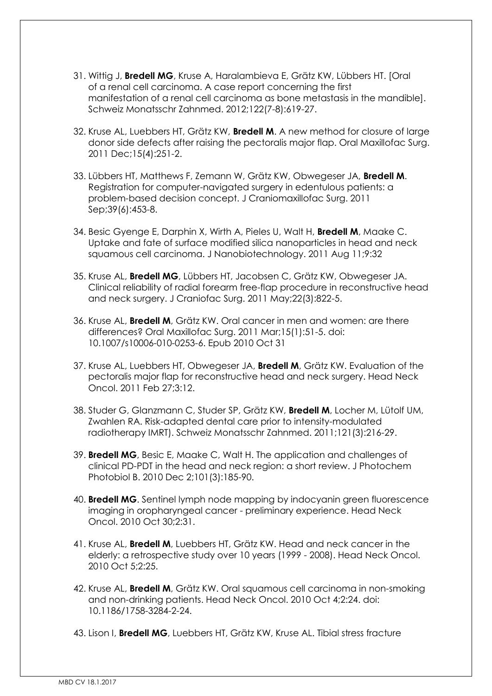- 31. Wittig J, **Bredell MG**, Kruse A, Haralambieva E, Grätz KW, Lübbers HT. [Oral of a renal cell carcinoma. A case report concerning the first manifestation of a renal cell carcinoma as bone metastasis in the mandible]. Schweiz Monatsschr Zahnmed. 2012;122(7-8):619-27.
- 32. Kruse AL, Luebbers HT, Grätz KW, **Bredell M**. A new method for closure of large donor side defects after raising the pectoralis major flap. Oral Maxillofac Surg. 2011 Dec;15(4):251-2.
- 33. Lübbers HT, Matthews F, Zemann W, Grätz KW, Obwegeser JA, **Bredell M**. Registration for computer-navigated surgery in edentulous patients: a problem-based decision concept. J Craniomaxillofac Surg. 2011 Sep;39(6):453-8.
- 34. Besic Gyenge E, Darphin X, Wirth A, Pieles U, Walt H, **Bredell M**, Maake C. Uptake and fate of surface modified silica nanoparticles in head and neck squamous cell carcinoma. J Nanobiotechnology. 2011 Aug 11;9:32
- 35. Kruse AL, **Bredell MG**, Lübbers HT, Jacobsen C, Grätz KW, Obwegeser JA. Clinical reliability of radial forearm free-flap procedure in reconstructive head and neck surgery. J Craniofac Surg. 2011 May;22(3):822-5.
- 36. Kruse AL, **Bredell M**, Grätz KW. Oral cancer in men and women: are there differences? Oral Maxillofac Surg. 2011 Mar;15(1):51-5. doi: 10.1007/s10006-010-0253-6. Epub 2010 Oct 31
- 37. Kruse AL, Luebbers HT, Obwegeser JA, **Bredell M**, Grätz KW. Evaluation of the pectoralis major flap for reconstructive head and neck surgery. Head Neck Oncol. 2011 Feb 27;3:12.
- 38. Studer G, Glanzmann C, Studer SP, Grätz KW, **Bredell M**, Locher M, Lütolf UM, Zwahlen RA. Risk-adapted dental care prior to intensity-modulated radiotherapy IMRT). Schweiz Monatsschr Zahnmed. 2011;121(3):216-29.
- 39. **Bredell MG**, Besic E, Maake C, Walt H. The application and challenges of clinical PD-PDT in the head and neck region: a short review. J Photochem Photobiol B. 2010 Dec 2;101(3):185-90.
- 40. **Bredell MG**. Sentinel lymph node mapping by indocyanin green fluorescence imaging in oropharyngeal cancer - preliminary experience. Head Neck Oncol. 2010 Oct 30;2:31.
- 41. Kruse AL, **Bredell M**, Luebbers HT, Grätz KW. Head and neck cancer in the elderly: a retrospective study over 10 years (1999 - 2008). Head Neck Oncol. 2010 Oct 5;2:25.
- 42. Kruse AL, **Bredell M**, Grätz KW. Oral squamous cell carcinoma in non-smoking and non-drinking patients. Head Neck Oncol. 2010 Oct 4;2:24. doi: 10.1186/1758-3284-2-24.
- 43. Lison I, **Bredell MG**, Luebbers HT, Grätz KW, Kruse AL. Tibial stress fracture